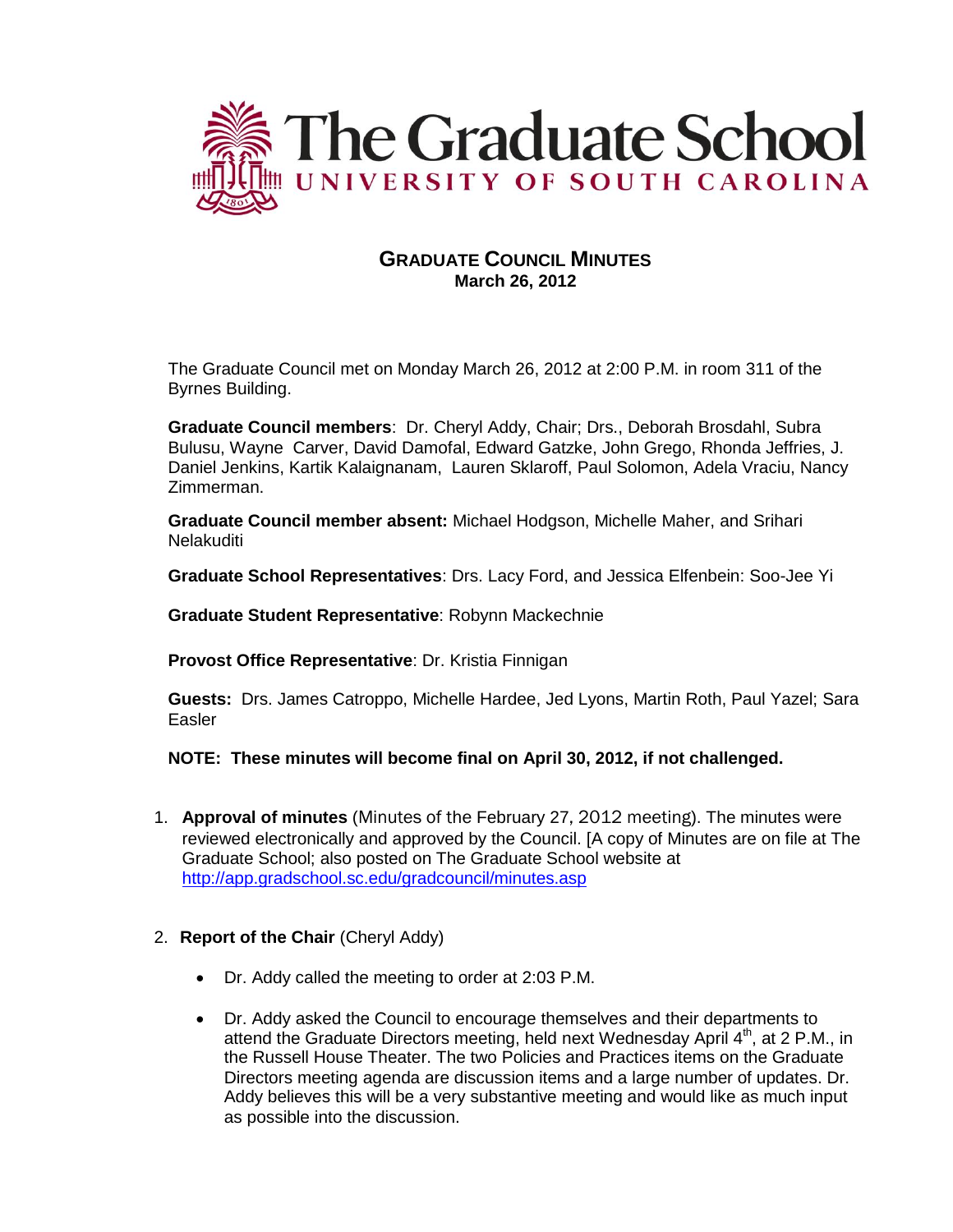

# **GRADUATE COUNCIL MINUTES March 26, 2012**

The Graduate Council met on Monday March 26, 2012 at 2:00 P.M. in room 311 of the Byrnes Building.

**Graduate Council members**: Dr. Cheryl Addy, Chair; Drs., Deborah Brosdahl, Subra Bulusu, Wayne Carver, David Damofal, Edward Gatzke, John Grego, Rhonda Jeffries, J. Daniel Jenkins, Kartik Kalaignanam, Lauren Sklaroff, Paul Solomon, Adela Vraciu, Nancy Zimmerman.

**Graduate Council member absent:** Michael Hodgson, Michelle Maher, and Srihari **Nelakuditi** 

**Graduate School Representatives**: Drs. Lacy Ford, and Jessica Elfenbein: Soo-Jee Yi

**Graduate Student Representative**: Robynn Mackechnie

**Provost Office Representative**: Dr. Kristia Finnigan

**Guests:** Drs. James Catroppo, Michelle Hardee, Jed Lyons, Martin Roth, Paul Yazel; Sara Easler

**NOTE: These minutes will become final on April 30, 2012, if not challenged.**

- 1. **Approval of minutes** (Minutes of the February 27, 2012 meeting). The minutes were reviewed electronically and approved by the Council. [A copy of Minutes are on file at The Graduate School; also posted on The Graduate School website at <http://app.gradschool.sc.edu/gradcouncil/minutes.asp>
- 2. **Report of the Chair** (Cheryl Addy)
	- Dr. Addy called the meeting to order at 2:03 P.M.
	- Dr. Addy asked the Council to encourage themselves and their departments to attend the Graduate Directors meeting, held next Wednesday April 4<sup>th</sup>, at 2 P.M., in the Russell House Theater. The two Policies and Practices items on the Graduate Directors meeting agenda are discussion items and a large number of updates. Dr. Addy believes this will be a very substantive meeting and would like as much input as possible into the discussion.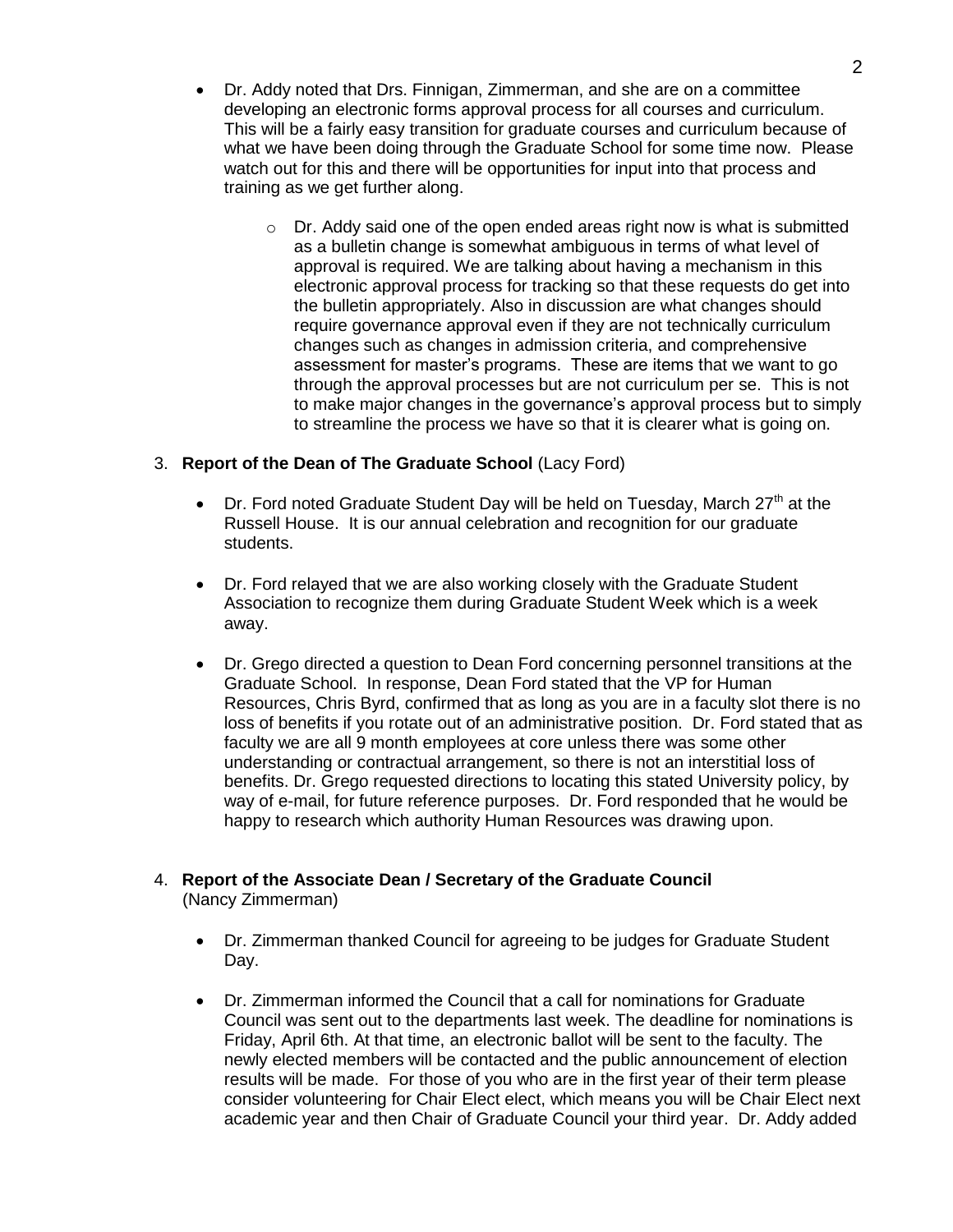- Dr. Addy noted that Drs. Finnigan, Zimmerman, and she are on a committee developing an electronic forms approval process for all courses and curriculum. This will be a fairly easy transition for graduate courses and curriculum because of what we have been doing through the Graduate School for some time now. Please watch out for this and there will be opportunities for input into that process and training as we get further along.
	- $\circ$  Dr. Addy said one of the open ended areas right now is what is submitted as a bulletin change is somewhat ambiguous in terms of what level of approval is required. We are talking about having a mechanism in this electronic approval process for tracking so that these requests do get into the bulletin appropriately. Also in discussion are what changes should require governance approval even if they are not technically curriculum changes such as changes in admission criteria, and comprehensive assessment for master's programs. These are items that we want to go through the approval processes but are not curriculum per se. This is not to make major changes in the governance's approval process but to simply to streamline the process we have so that it is clearer what is going on.

### 3. **Report of the Dean of The Graduate School** (Lacy Ford)

- Dr. Ford noted Graduate Student Day will be held on Tuesday, March  $27<sup>th</sup>$  at the Russell House. It is our annual celebration and recognition for our graduate students.
- Dr. Ford relayed that we are also working closely with the Graduate Student Association to recognize them during Graduate Student Week which is a week away.
- Dr. Grego directed a question to Dean Ford concerning personnel transitions at the Graduate School. In response, Dean Ford stated that the VP for Human Resources, Chris Byrd, confirmed that as long as you are in a faculty slot there is no loss of benefits if you rotate out of an administrative position. Dr. Ford stated that as faculty we are all 9 month employees at core unless there was some other understanding or contractual arrangement, so there is not an interstitial loss of benefits. Dr. Grego requested directions to locating this stated University policy, by way of e-mail, for future reference purposes. Dr. Ford responded that he would be happy to research which authority Human Resources was drawing upon.

# 4. **Report of the Associate Dean / Secretary of the Graduate Council**

(Nancy Zimmerman)

- Dr. Zimmerman thanked Council for agreeing to be judges for Graduate Student Day.
- Dr. Zimmerman informed the Council that a call for nominations for Graduate Council was sent out to the departments last week. The deadline for nominations is Friday, April 6th. At that time, an electronic ballot will be sent to the faculty. The newly elected members will be contacted and the public announcement of election results will be made. For those of you who are in the first year of their term please consider volunteering for Chair Elect elect, which means you will be Chair Elect next academic year and then Chair of Graduate Council your third year. Dr. Addy added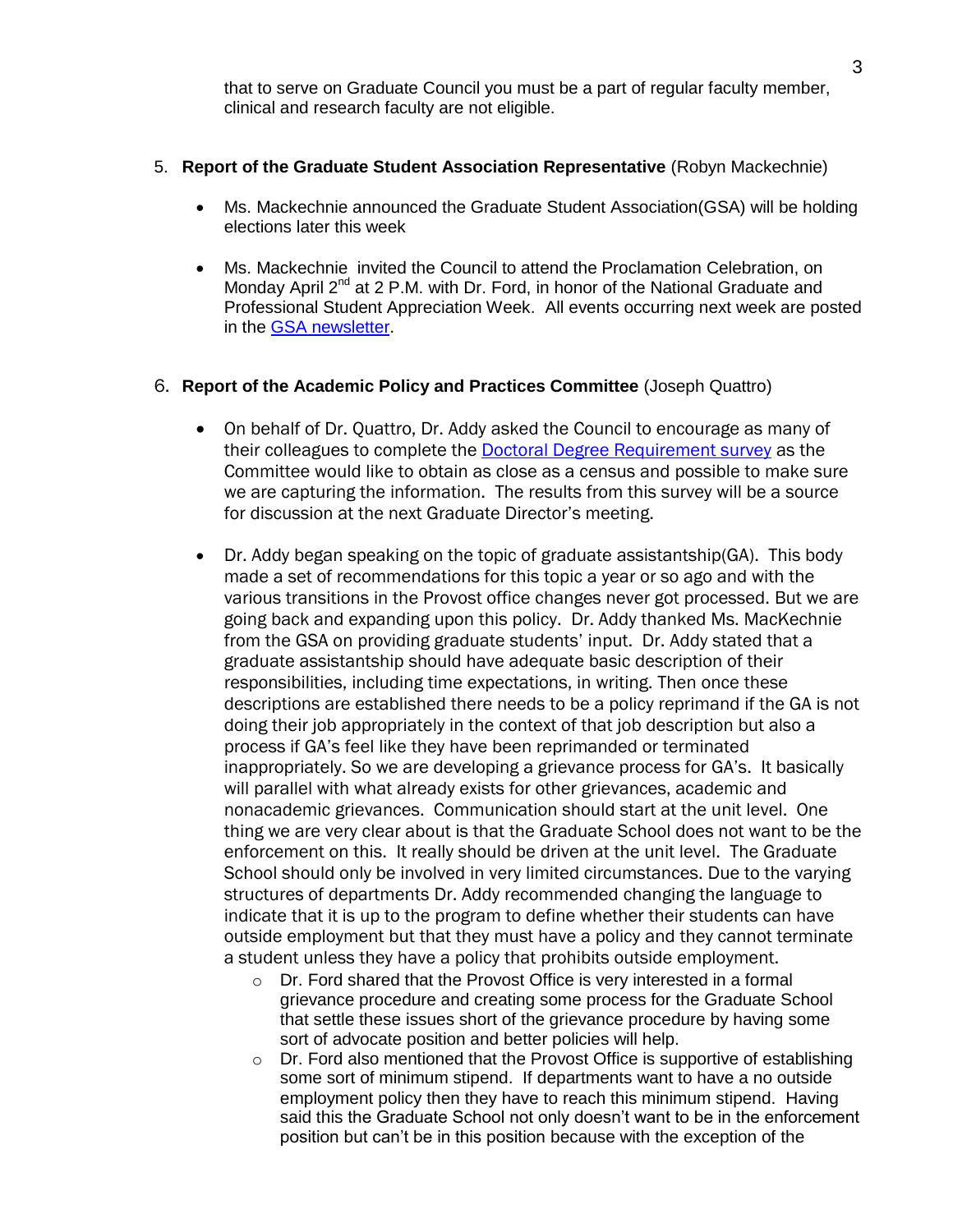that to serve on Graduate Council you must be a part of regular faculty member, clinical and research faculty are not eligible.

### 5. **Report of the Graduate Student Association Representative** (Robyn Mackechnie)

- Ms. Mackechnie announced the Graduate Student Association(GSA) will be holding elections later this week
- Ms. Mackechnie invited the Council to attend the Proclamation Celebration, on Monday April 2<sup>nd</sup> at 2 P.M. with Dr. Ford, in honor of the National Graduate and Professional Student Appreciation Week. All events occurring next week are posted in the [GSA newsletter.](http://www.sa.sc.edu/sg/files/2011/10/GSA-Newsletter-March.pdf)

### 6. **Report of the Academic Policy and Practices Committee** (Joseph Quattro)

- On behalf of Dr. Quattro, Dr. Addy asked the Council to encourage as many of their colleagues to complete the [Doctoral Degree Requirement survey](http://app.gradschool.sc.edu/gradcouncil/doc_survey.asp) as the Committee would like to obtain as close as a census and possible to make sure we are capturing the information. The results from this survey will be a source for discussion at the next Graduate Director's meeting.
- Dr. Addy began speaking on the topic of graduate assistantship(GA). This body made a set of recommendations for this topic a year or so ago and with the various transitions in the Provost office changes never got processed. But we are going back and expanding upon this policy. Dr. Addy thanked Ms. MacKechnie from the GSA on providing graduate students' input. Dr. Addy stated that a graduate assistantship should have adequate basic description of their responsibilities, including time expectations, in writing. Then once these descriptions are established there needs to be a policy reprimand if the GA is not doing their job appropriately in the context of that job description but also a process if GA's feel like they have been reprimanded or terminated inappropriately. So we are developing a grievance process for GA's. It basically will parallel with what already exists for other grievances, academic and nonacademic grievances. Communication should start at the unit level. One thing we are very clear about is that the Graduate School does not want to be the enforcement on this. It really should be driven at the unit level. The Graduate School should only be involved in very limited circumstances. Due to the varying structures of departments Dr. Addy recommended changing the language to indicate that it is up to the program to define whether their students can have outside employment but that they must have a policy and they cannot terminate a student unless they have a policy that prohibits outside employment.
	- o Dr. Ford shared that the Provost Office is very interested in a formal grievance procedure and creating some process for the Graduate School that settle these issues short of the grievance procedure by having some sort of advocate position and better policies will help.
	- $\circ$  Dr. Ford also mentioned that the Provost Office is supportive of establishing some sort of minimum stipend. If departments want to have a no outside employment policy then they have to reach this minimum stipend. Having said this the Graduate School not only doesn't want to be in the enforcement position but can't be in this position because with the exception of the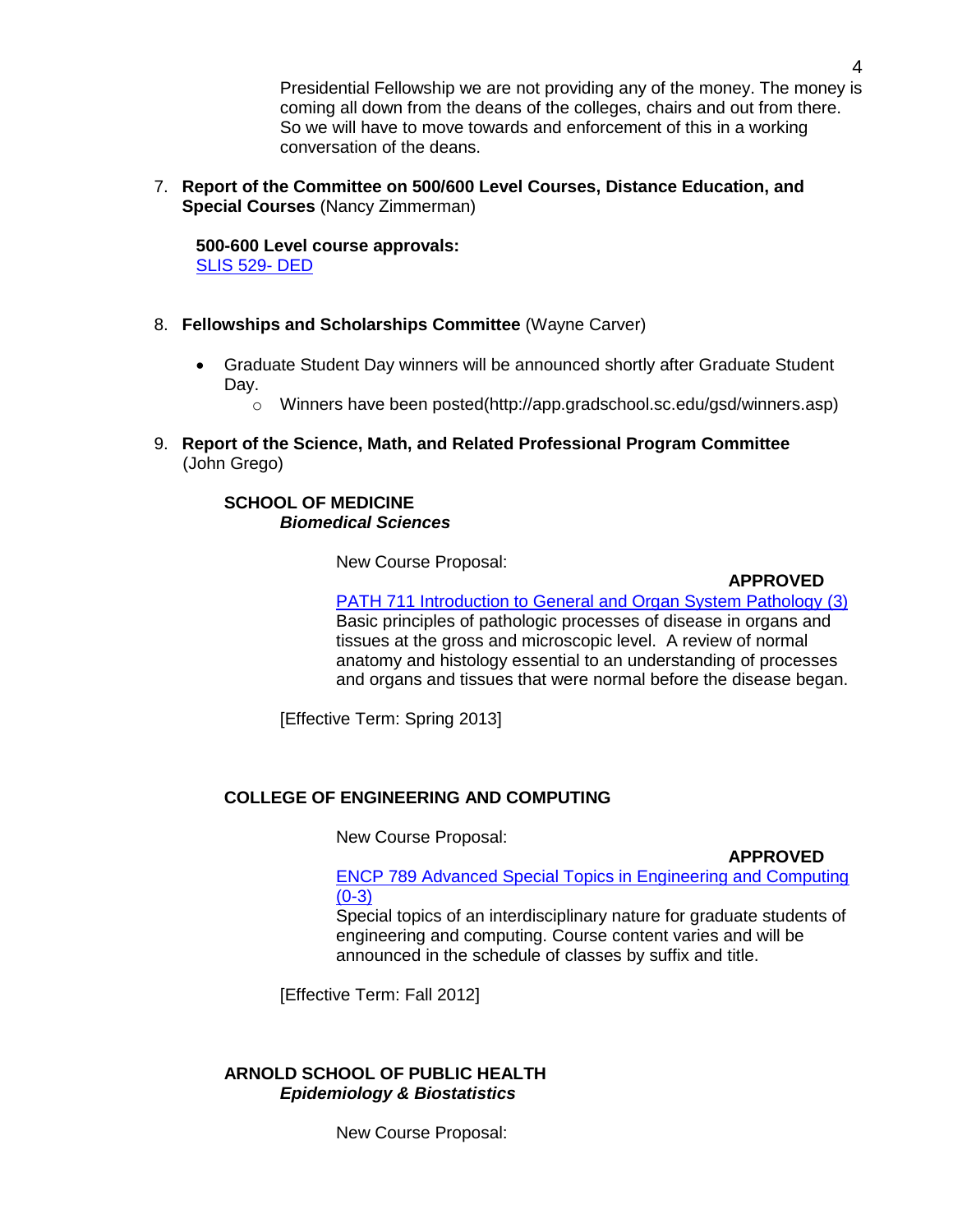Presidential Fellowship we are not providing any of the money. The money is coming all down from the deans of the colleges, chairs and out from there. So we will have to move towards and enforcement of this in a working conversation of the deans.

7. **Report of the Committee on 500/600 Level Courses, Distance Education, and Special Courses** (Nancy Zimmerman)

**500-600 Level course approvals:** [SLIS 529-](http://app.gradschool.sc.edu/includes/filedownload-public.asp?location=&file_name=) DED

- 8. **Fellowships and Scholarships Committee** (Wayne Carver)
	- Graduate Student Day winners will be announced shortly after Graduate Student Day.
		- o Winners have been posted(http://app.gradschool.sc.edu/gsd/winners.asp)
- 9. **Report of the Science, Math, and Related Professional Program Committee** (John Grego)

### **SCHOOL OF MEDICINE** *Biomedical Sciences*

New Course Proposal:

### **APPROVED**

[PATH 711 Introduction to General and Organ System Pathology \(3\)](http://app.gradschool.sc.edu/includes/filedownload-public.asp?location=E:/GMS/GRADCOUNCIL/2011/NCPPATH711_201141.pdf&file_name=NCPPATH711_201141.pdf) Basic principles of pathologic processes of disease in organs and tissues at the gross and microscopic level. A review of normal anatomy and histology essential to an understanding of processes and organs and tissues that were normal before the disease began.

[Effective Term: Spring 2013]

# **COLLEGE OF ENGINEERING AND COMPUTING**

New Course Proposal:

**APPROVED**

[ENCP 789 Advanced Special Topics in Engineering and Computing](http://app.gradschool.sc.edu/includes/filedownload-public.asp?location=E:/GMS/GRADCOUNCIL/2011/NCPENCP789_201211.pdf&file_name=NCPENCP789_201211.pdf)  $(0-3)$ 

Special topics of an interdisciplinary nature for graduate students of engineering and computing. Course content varies and will be announced in the schedule of classes by suffix and title.

[Effective Term: Fall 2012]

### **ARNOLD SCHOOL OF PUBLIC HEALTH** *Epidemiology & Biostatistics*

New Course Proposal: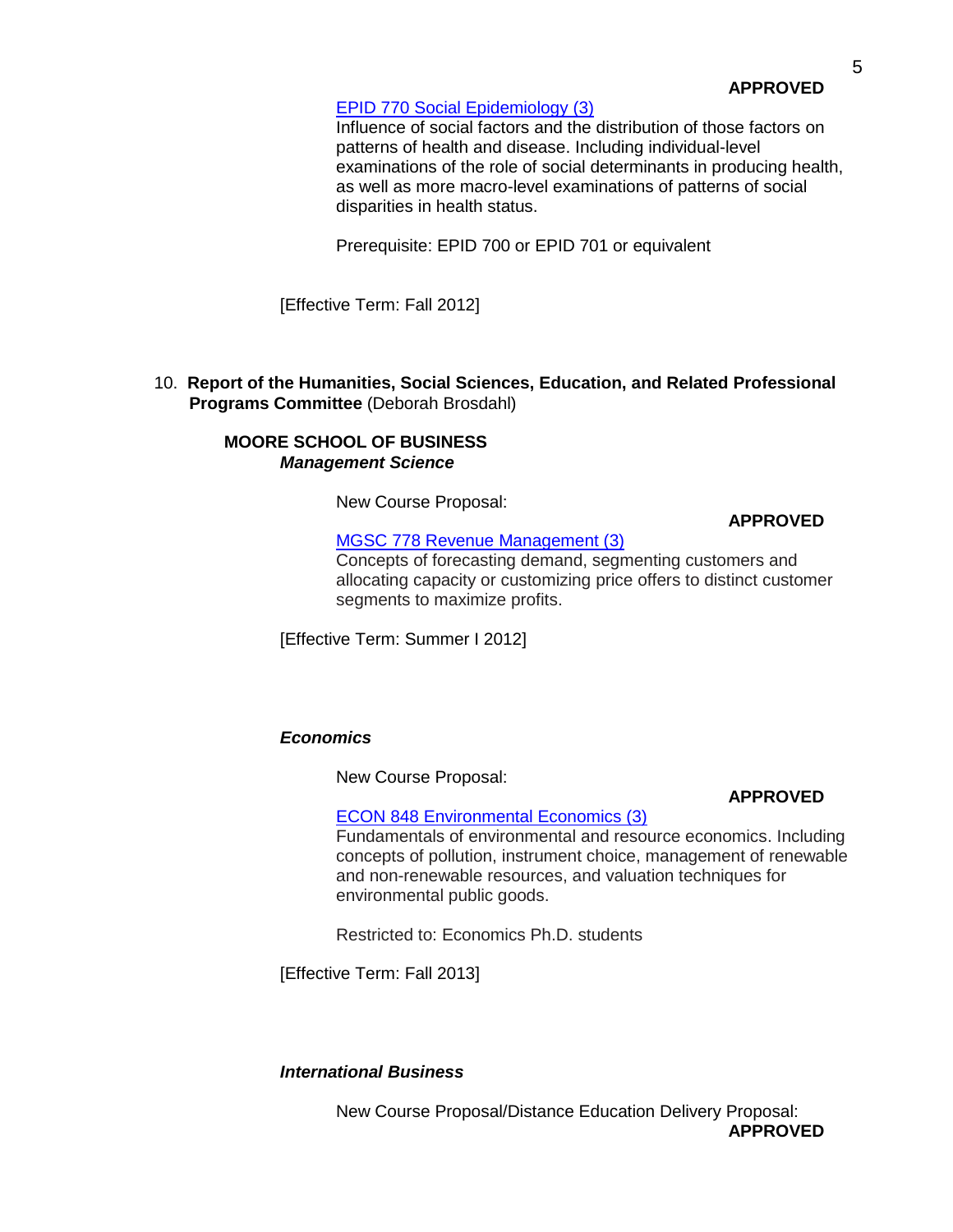### [EPID 770 Social Epidemiology \(3\)](http://app.gradschool.sc.edu/includes/filedownload-public.asp?location=E:/GMS/GRADCOUNCIL/2011/NCPEPID770_201211.pdf&file_name=NCPEPID770_201211.pdf)

Influence of social factors and the distribution of those factors on patterns of health and disease. Including individual-level examinations of the role of social determinants in producing health, as well as more macro-level examinations of patterns of social disparities in health status.

Prerequisite: EPID 700 or EPID 701 or equivalent

[Effective Term: Fall 2012]

10. **Report of the Humanities, Social Sciences, Education, and Related Professional Programs Committee** (Deborah Brosdahl)

### **MOORE SCHOOL OF BUSINESS** *Management Science*

New Course Proposal:

**APPROVED**

[MGSC 778 Revenue Management \(3\)](http://app.gradschool.sc.edu/includes/filedownload-public.asp?location=E:/GMS/GRADCOUNCIL/2011/NCPMGSC778_201211.pdf&file_name=NCPMGSC778_201211.pdf)

Concepts of forecasting demand, segmenting customers and allocating capacity or customizing price offers to distinct customer segments to maximize profits.

[Effective Term: Summer I 2012]

# *Economics*

New Course Proposal:

# **APPROVED**

[ECON 848 Environmental Economics \(3\)](http://app.gradschool.sc.edu/includes/filedownload-public.asp?location=E:/GMS/GRADCOUNCIL/2011/NCPECON848_201211.pdf&file_name=NCPECON848_201211.pdf) Fundamentals of environmental and resource economics. Including concepts of pollution, instrument choice, management of renewable and non-renewable resources, and valuation techniques for environmental public goods.

Restricted to: Economics Ph.D. students

[Effective Term: Fall 2013]

# *International Business*

New Course Proposal/Distance Education Delivery Proposal: **APPROVED**

**APPROVED**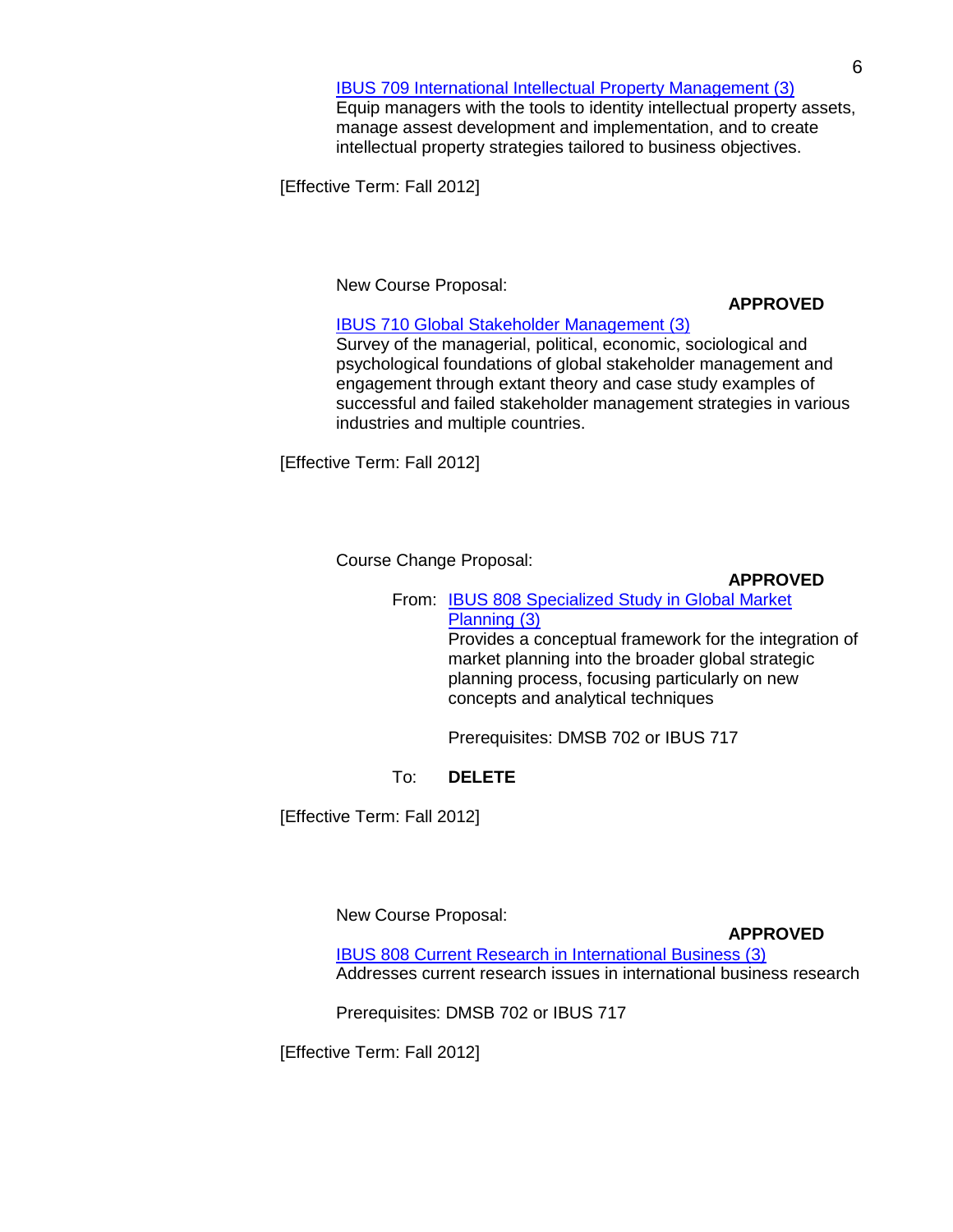Equip managers with the tools to identity intellectual property assets, manage assest development and implementation, and to create intellectual property strategies tailored to business objectives.

[Effective Term: Fall 2012]

New Course Proposal:

### **APPROVED**

[IBUS 710 Global Stakeholder Management \(3\)](http://app.gradschool.sc.edu/includes/filedownload-public.asp?location=E:/GMS/GRADCOUNCIL/2011/NCPIBUS710_201211.pdf&file_name=NCPIBUS710_201211.pdf)

Survey of the managerial, political, economic, sociological and psychological foundations of global stakeholder management and engagement through extant theory and case study examples of successful and failed stakeholder management strategies in various industries and multiple countries.

[Effective Term: Fall 2012]

Course Change Proposal:

**APPROVED**

From: [IBUS 808 Specialized Study in Global Market](http://app.gradschool.sc.edu/includes/filedownload-public.asp?location=E:/GMS/GRADCOUNCIL/2011/CCPIBUS808_201211.pdf&file_name=CCPIBUS808_201211.pdf) [Planning \(3\)](http://app.gradschool.sc.edu/includes/filedownload-public.asp?location=E:/GMS/GRADCOUNCIL/2011/CCPIBUS808_201211.pdf&file_name=CCPIBUS808_201211.pdf)

Provides a conceptual framework for the integration of market planning into the broader global strategic planning process, focusing particularly on new concepts and analytical techniques

Prerequisites: DMSB 702 or IBUS 717

# To: **DELETE**

[Effective Term: Fall 2012]

New Course Proposal:

**APPROVED**

[IBUS 808 Current Research in International Business \(3\)](http://app.gradschool.sc.edu/includes/filedownload-public.asp?location=E:/GMS/GRADCOUNCIL/2011/NCPIBUS808_201211.pdf&file_name=NCPIBUS808_201211.pdf) Addresses current research issues in international business research

Prerequisites: DMSB 702 or IBUS 717

[Effective Term: Fall 2012]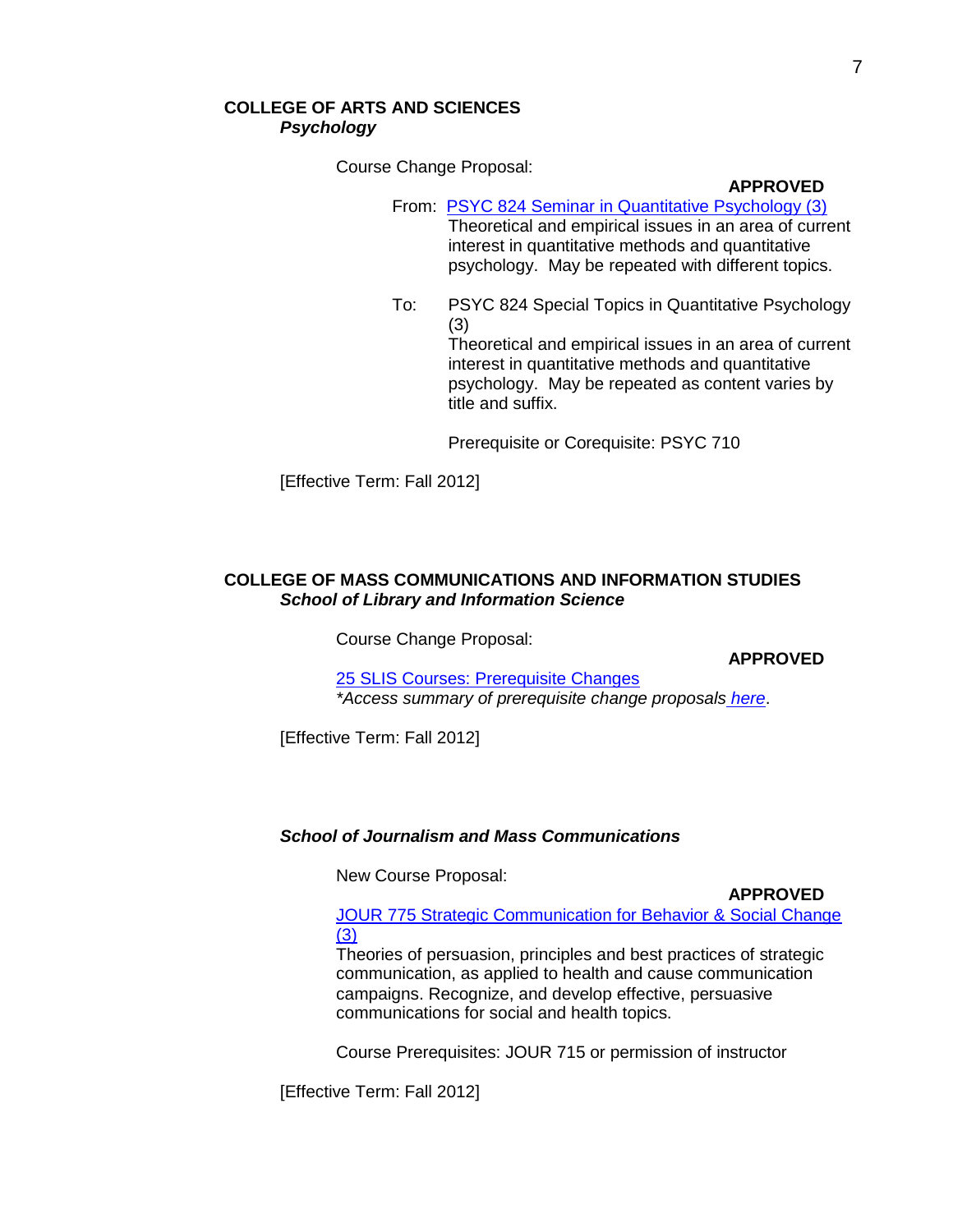# **COLLEGE OF ARTS AND SCIENCES** *Psychology*

Course Change Proposal:

#### **APPROVED**

From: PSYC 824 Seminar [in Quantitative Psychology \(3\)](http://gradschool.sc.edu/gradcouncil/curr_docs/CCPPSYC824_201211.pdf) Theoretical and empirical issues in an area of current interest in quantitative methods and quantitative psychology. May be repeated with different topics.

To: PSYC 824 Special Topics in Quantitative Psychology (3) Theoretical and empirical issues in an area of current interest in quantitative methods and quantitative psychology. May be repeated as content varies by title and suffix.

Prerequisite or Corequisite: PSYC 710

[Effective Term: Fall 2012]

### **COLLEGE OF MASS COMMUNICATIONS AND INFORMATION STUDIES** *School of Library and Information Science*

Course Change Proposal:

**APPROVED**

[25 SLIS Courses: Prerequisite Changes](http://app.gradschool.sc.edu/includes/filedownload-public.asp?location=E:/GMS/GRADCOUNCIL/2011/CCPSLISPREREQ_201211.pdf&file_name=CCPSLISPREREQ_201211.pdf) *\*Access summary of prerequisite change proposals [here](http://gradschool.sc.edu/gradcouncil/docs/Attachments/25SLISPrerequisiteChanges.pdf)*.

[Effective Term: Fall 2012]

#### *School of Journalism and Mass Communications*

New Course Proposal:

**APPROVED**

[JOUR 775 Strategic Communication for Behavior & Social Change](http://app.gradschool.sc.edu/includes/filedownload-public.asp?location=E:/GMS/GRADCOUNCIL/2011/NCPJOUR775_201211.pdf&file_name=NCPJOUR775_201211.pdf) [\(3\)](http://app.gradschool.sc.edu/includes/filedownload-public.asp?location=E:/GMS/GRADCOUNCIL/2011/NCPJOUR775_201211.pdf&file_name=NCPJOUR775_201211.pdf)

Theories of persuasion, principles and best practices of strategic communication, as applied to health and cause communication campaigns. Recognize, and develop effective, persuasive communications for social and health topics.

Course Prerequisites: JOUR 715 or permission of instructor

[Effective Term: Fall 2012]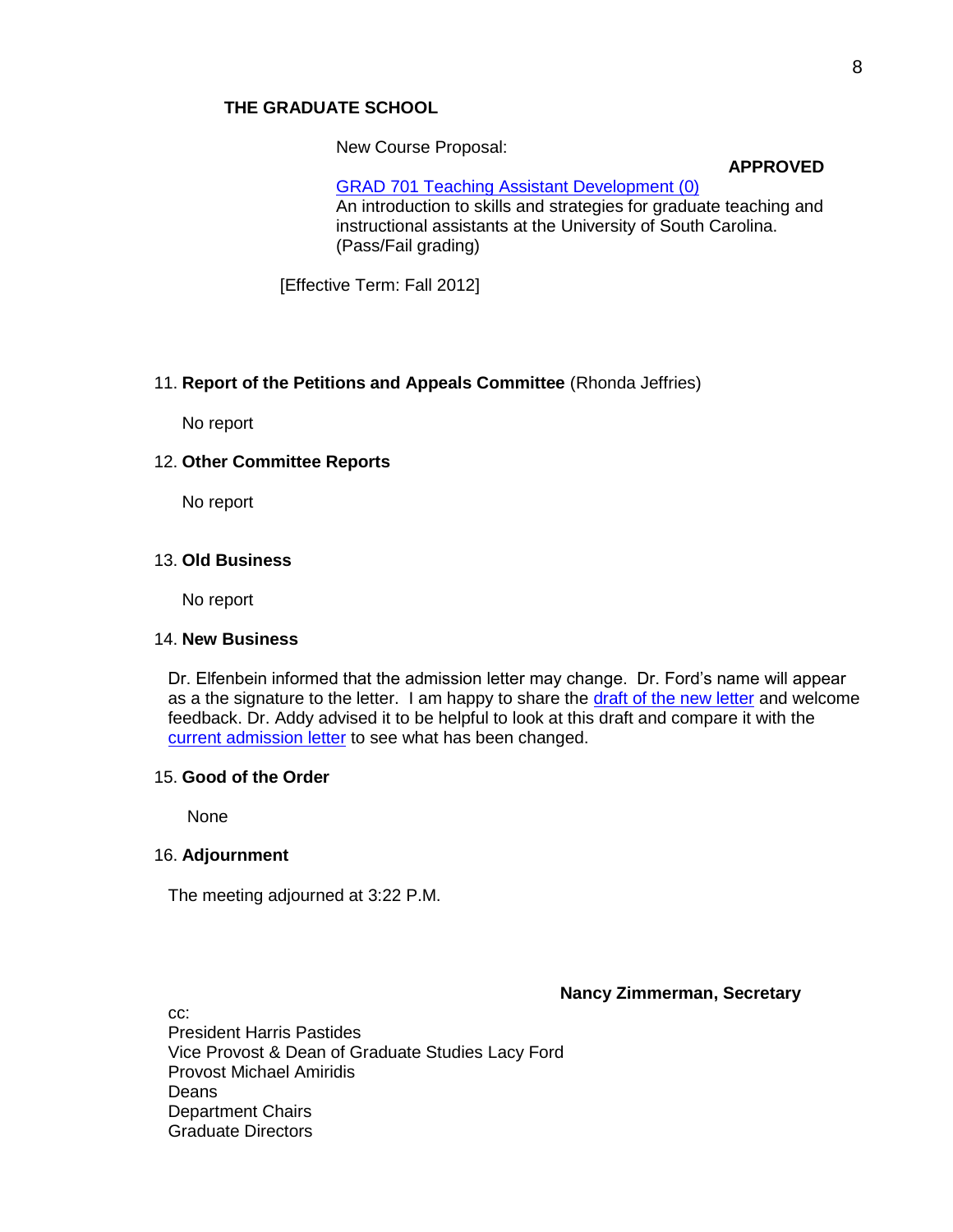#### **THE GRADUATE SCHOOL**

New Course Proposal:

**APPROVED**

[GRAD 701 Teaching Assistant Development \(0\)](http://app.gradschool.sc.edu/includes/filedownload-public.asp?location=E:/GMS/GRADCOUNCIL/2011/NCPGRAD701_2012.pdf&file_name=NCPGRAD701_2012.pdf) An introduction to skills and strategies for graduate teaching and instructional assistants at the University of South Carolina. (Pass/Fail grading)

[Effective Term: Fall 2012]

#### 11. **Report of the Petitions and Appeals Committee** (Rhonda Jeffries)

No report

### 12. **Other Committee Reports**

No report

#### 13. **Old Business**

No report

#### 14. **New Business**

Dr. Elfenbein informed that the admission letter may change. Dr. Ford's name will appear as a the signature to the letter. I am happy to share the [draft of the new letter](file://cogrdsweb/gradcouncil/docs/Attachments/letter/AcceptanceLetter%20Fall2012.pdf) and welcome feedback. Dr. Addy advised it to be helpful to look at this draft and compare it with the [current admission letter](file://cogrdsweb/gradcouncil/docs/Attachments/letter/OldadmtLetter.pdf) to see what has been changed.

### 15. **Good of the Order**

None

### 16. **Adjournment**

The meeting adjourned at 3:22 P.M.

### **Nancy Zimmerman, Secretary**

cc: President Harris Pastides Vice Provost & Dean of Graduate Studies Lacy Ford Provost Michael Amiridis Deans Department Chairs Graduate Directors